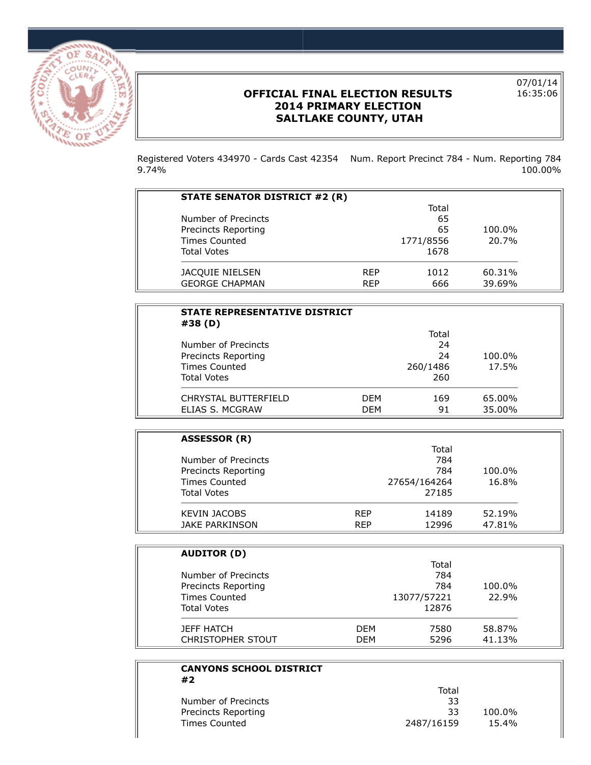

÷,

## **OFFICIAL FINAL ELECTION RESULTS 2014 PRIMARY ELECTION SALTLAKE COUNTY, UTAH**

07/01/14 16:35:06

Registered Voters 434970 - Cards Cast 42354 Num. Report Precinct 784 - Num. Reporting 784 9.74% 100.00%

| STATE SENATOR DISTRICT #2 (R) |            |           |        |
|-------------------------------|------------|-----------|--------|
|                               |            | Total     |        |
| Number of Precincts           |            | 65        |        |
| Precincts Reporting           |            | 65        | 100.0% |
| <b>Times Counted</b>          |            | 1771/8556 | 20.7%  |
| <b>Total Votes</b>            |            | 1678      |        |
| JACQUIE NIELSEN               | <b>RFP</b> | 1012      | 60.31% |
| <b>GEORGE CHAPMAN</b>         | <b>RFP</b> | 666       | 39.69% |

| <b>STATE REPRESENTATIVE DISTRICT</b><br>#38 (D) |            |          |        |
|-------------------------------------------------|------------|----------|--------|
|                                                 |            | Total    |        |
| Number of Precincts                             |            | 24       |        |
| Precincts Reporting                             |            | 24       | 100.0% |
| Times Counted                                   |            | 260/1486 | 17.5%  |
| <b>Total Votes</b>                              |            | 260      |        |
| CHRYSTAL BUTTERFIELD                            | <b>DFM</b> | 169      | 65.00% |
| ELIAS S. MCGRAW                                 | <b>DEM</b> | 91       | 35.00% |

| <b>ASSESSOR (R)</b>  |            |              |        |  |
|----------------------|------------|--------------|--------|--|
|                      |            | Total        |        |  |
| Number of Precincts  |            | 784          |        |  |
| Precincts Reporting  |            | 784          | 100.0% |  |
| <b>Times Counted</b> |            | 27654/164264 | 16.8%  |  |
| <b>Total Votes</b>   |            | 27185        |        |  |
| <b>KEVIN JACOBS</b>  | <b>RFP</b> | 14189        | 52.19% |  |
| JAKE PARKINSON       | <b>REP</b> | 12996        | 47.81% |  |

| <b>AUDITOR (D)</b>       |            |             |        |
|--------------------------|------------|-------------|--------|
|                          |            | Total       |        |
| Number of Precincts      |            | 784         |        |
| Precincts Reporting      |            | 784         | 100.0% |
| <b>Times Counted</b>     |            | 13077/57221 | 22.9%  |
| <b>Total Votes</b>       |            | 12876       |        |
| <b>JEFF HATCH</b>        | <b>DFM</b> | 7580        | 58.87% |
| <b>CHRISTOPHER STOUT</b> | <b>DFM</b> | 5296        | 41.13% |

| <b>CANYONS SCHOOL DISTRICT</b><br>#2 |            |          |
|--------------------------------------|------------|----------|
|                                      | Total      |          |
| Number of Precincts                  | 33         |          |
| Precincts Reporting                  | 33         | 100.0%   |
| <b>Times Counted</b>                 | 2487/16159 | $15.4\%$ |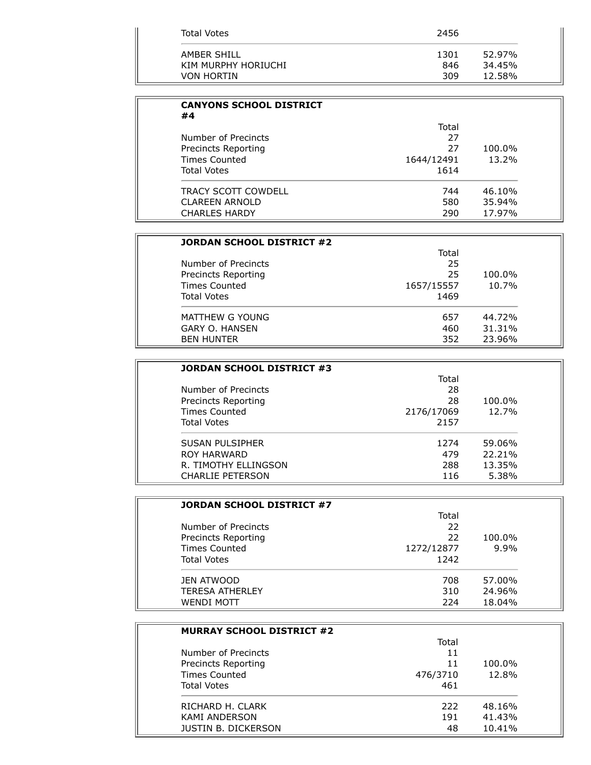| Total Votes         | 2456 |        |
|---------------------|------|--------|
| AMBER SHILL         | 1301 | 52.97% |
| KIM MURPHY HORIUCHI | 846  | 34.45% |
| <b>VON HORTIN</b>   | 309  | 12.58% |

| <b>CANYONS SCHOOL DISTRICT</b><br>#4 |            |        |
|--------------------------------------|------------|--------|
|                                      | Total      |        |
| Number of Precincts                  | 27         |        |
| Precincts Reporting                  | 27         | 100.0% |
| <b>Times Counted</b>                 | 1644/12491 | 13.2%  |
| <b>Total Votes</b>                   | 1614       |        |
| <b>TRACY SCOTT COWDELL</b>           | 744        | 46.10% |
| <b>CLAREEN ARNOLD</b>                | 580        | 35.94% |
| <b>CHARLES HARDY</b>                 | 290        | 17.97% |

| JORDAN SCHOOL DISTRICT #2 |            |        |
|---------------------------|------------|--------|
|                           | Total      |        |
| Number of Precincts       | 25         |        |
| Precincts Reporting       | 25         | 100.0% |
| <b>Times Counted</b>      | 1657/15557 | 10.7%  |
| <b>Total Votes</b>        | 1469       |        |
| MATTHEW G YOUNG           | 657        | 44.72% |
| <b>GARY O. HANSEN</b>     | 460        | 31.31% |
| <b>BEN HUNTER</b>         | 352        | 23.96% |

| JORDAN SCHOOL DISTRICT #3 |            |        |
|---------------------------|------------|--------|
|                           | Total      |        |
| Number of Precincts       | 28         |        |
| Precincts Reporting       | 28         | 100.0% |
| <b>Times Counted</b>      | 2176/17069 | 12.7%  |
| <b>Total Votes</b>        | 2157       |        |
| <b>SUSAN PULSIPHER</b>    | 1274       | 59.06% |
| <b>ROY HARWARD</b>        | 479        | 22.21% |
| R. TIMOTHY ELLINGSON      | 288        | 13.35% |
| CHARLIE PETERSON          | 116        | 5.38%  |

| JORDAN SCHOOL DISTRICT #7  |            |        |
|----------------------------|------------|--------|
|                            | Total      |        |
| Number of Precincts        | 22         |        |
| <b>Precincts Reporting</b> | 22         | 100.0% |
| <b>Times Counted</b>       | 1272/12877 | 9.9%   |
| <b>Total Votes</b>         | 1242       |        |
| JEN ATWOOD                 | 708        | 57.00% |
| <b>TERESA ATHERLEY</b>     | 310        | 24.96% |
| <b>WENDI MOTT</b>          | 224        | 18.04% |

| <b>MURRAY SCHOOL DISTRICT #2</b> |          |        |
|----------------------------------|----------|--------|
|                                  | Total    |        |
| Number of Precincts              | 11       |        |
| <b>Precincts Reporting</b>       | 11       | 100.0% |
| Times Counted                    | 476/3710 | 12.8%  |
| <b>Total Votes</b>               | 461      |        |
| RICHARD H. CLARK                 | 222      | 48.16% |
| <b>KAMI ANDERSON</b>             | 191      | 41.43% |
| <b>JUSTIN B. DICKERSON</b>       | 48       | 10.41% |